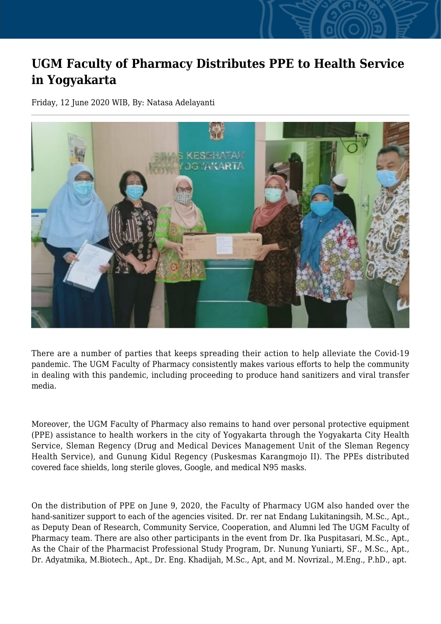## **UGM Faculty of Pharmacy Distributes PPE to Health Service in Yogyakarta**

Friday, 12 June 2020 WIB, By: Natasa Adelayanti



There are a number of parties that keeps spreading their action to help alleviate the Covid-19 pandemic. The UGM Faculty of Pharmacy consistently makes various efforts to help the community in dealing with this pandemic, including proceeding to produce hand sanitizers and viral transfer media.

Moreover, the UGM Faculty of Pharmacy also remains to hand over personal protective equipment (PPE) assistance to health workers in the city of Yogyakarta through the Yogyakarta City Health Service, Sleman Regency (Drug and Medical Devices Management Unit of the Sleman Regency Health Service), and Gunung Kidul Regency (Puskesmas Karangmojo II). The PPEs distributed covered face shields, long sterile gloves, Google, and medical N95 masks.

On the distribution of PPE on June 9, 2020, the Faculty of Pharmacy UGM also handed over the hand-sanitizer support to each of the agencies visited. Dr. rer nat Endang Lukitaningsih, M.Sc., Apt., as Deputy Dean of Research, Community Service, Cooperation, and Alumni led The UGM Faculty of Pharmacy team. There are also other participants in the event from Dr. Ika Puspitasari, M.Sc., Apt., As the Chair of the Pharmacist Professional Study Program, Dr. Nunung Yuniarti, SF., M.Sc., Apt., Dr. Adyatmika, M.Biotech., Apt., Dr. Eng. Khadijah, M.Sc., Apt, and M. Novrizal., M.Eng., P.hD., apt.